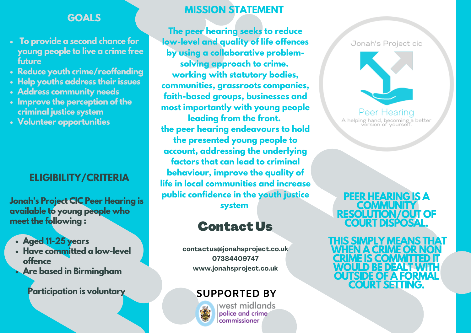### **GOALS**

- **To provide a second chance for young people to live a crime free future**
- **Reduce youth crime/reoffending**
- **Help youths address their issues**
- **Address community needs**
- **Improve the perception of the criminal justice system**
- **Volunteer opportunities**

## **ELIGIBILITY/CRITERIA**

**Jonah's Project CIC Peer Hearing is available to young people who meet the following :**

- **Aged 11-25 years**
- **Have committed a low-level offence**
- **Are based in Birmingham**

**Participation is voluntary SUPPORTED BY**

## **MISSION STATEMENT**

**The peer hearing seeks to reduce low-level and quality of life offences by using a collaborative problemsolving approach to crime. working with statutory bodies, communities, grassroots companies, faith-based groups, businesses and most importantly with young people leading from the front. the peer hearing endeavours to hold the presented young people to account, addressing the underlying factors that can lead to criminal behaviour, improve the quality of life in local communities and increase public confidence in the youth justice system**

# Contact Us

**contactus@jonahsproject.co.uk 07384409747 www.jonahsproject.co.uk**



west midlands police and crime .<br>commissioner

Jonah's Project cic



Peer Hearing A helping hand, becoming a better<br>version of yourself.

**PEER HEARING IS A COMMUNITY RESOLUTION/OUT OF COURT DISPOSAL.**

**THIS SIMPLY MEANS THAT WHEN A CRIME OR NON CRIME IS COMMITTED IT WOULD BE DEALTWITH OUTSIDE OF A FORMAL COURT SETTING.**